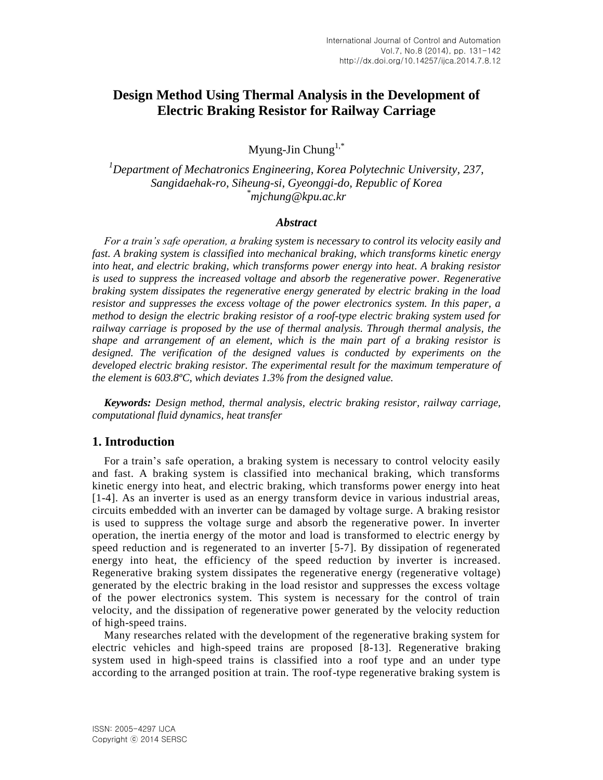# **Design Method Using Thermal Analysis in the Development of Electric Braking Resistor for Railway Carriage**

Myung-Jin Chung<sup>1,\*</sup>

*<sup>1</sup>Department of Mechatronics Engineering, Korea Polytechnic University, 237, Sangidaehak-ro, Siheung-si, Gyeonggi-do, Republic of Korea \*mjchung@kpu.ac.kr*

## *Abstract*

*For a train's safe operation, a braking system is necessary to control its velocity easily and fast. A braking system is classified into mechanical braking, which transforms kinetic energy into heat, and electric braking, which transforms power energy into heat. A braking resistor is used to suppress the increased voltage and absorb the regenerative power. Regenerative braking system dissipates the regenerative energy generated by electric braking in the load resistor and suppresses the excess voltage of the power electronics system. In this paper, a method to design the electric braking resistor of a roof-type electric braking system used for railway carriage is proposed by the use of thermal analysis. Through thermal analysis, the shape and arrangement of an element, which is the main part of a braking resistor is*  designed. The verification of the designed values is conducted by experiments on the *developed electric braking resistor. The experimental result for the maximum temperature of the element is 603.8ºC, which deviates 1.3% from the designed value.*

*Keywords: Design method, thermal analysis, electric braking resistor, railway carriage, computational fluid dynamics, heat transfer*

### **1. Introduction**

For a train's safe operation, a braking system is necessary to control velocity easily and fast. A braking system is classified into mechanical braking, which transforms kinetic energy into heat, and electric braking, which transforms power energy into heat [1-4]. As an inverter is used as an energy transform device in various industrial areas, circuits embedded with an inverter can be damaged by voltage surge. A braking resistor is used to suppress the voltage surge and absorb the regenerative power. In inverter operation, the inertia energy of the motor and load is transformed to electric energy by speed reduction and is regenerated to an inverter [5-7]. By dissipation of regenerated energy into heat, the efficiency of the speed reduction by inverter is increased. Regenerative braking system dissipates the regenerative energy (regenerative voltage) generated by the electric braking in the load resistor and suppresses the excess voltage of the power electronics system. This system is necessary for the control of train velocity, and the dissipation of regenerative power generated by the velocity reduction of high-speed trains.

Many researches related with the development of the regenerative braking system for electric vehicles and high-speed trains are proposed [8-13]. Regenerative braking system used in high-speed trains is classified into a roof type and an under type according to the arranged position at train. The roof-type regenerative braking system is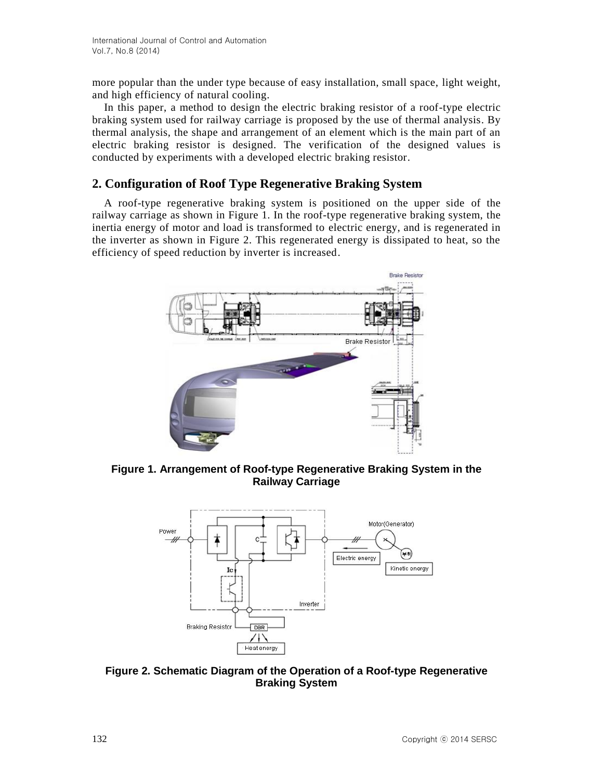more popular than the under type because of easy installation, small space, light weight, and high efficiency of natural cooling.

In this paper, a method to design the electric braking resistor of a roof-type electric braking system used for railway carriage is proposed by the use of thermal analysis. By thermal analysis, the shape and arrangement of an element which is the main part of an electric braking resistor is designed. The verification of the designed values is conducted by experiments with a developed electric braking resistor.

## **2. Configuration of Roof Type Regenerative Braking System**

A roof-type regenerative braking system is positioned on the upper side of the railway carriage as shown in Figure 1. In the roof-type regenerative braking system, the inertia energy of motor and load is transformed to electric energy, and is regenerated in the inverter as shown in Figure 2. This regenerated energy is dissipated to heat, so the efficiency of speed reduction by inverter is increased.



**Figure 1. Arrangement of Roof-type Regenerative Braking System in the Railway Carriage**



**Figure 2. Schematic Diagram of the Operation of a Roof-type Regenerative Braking System**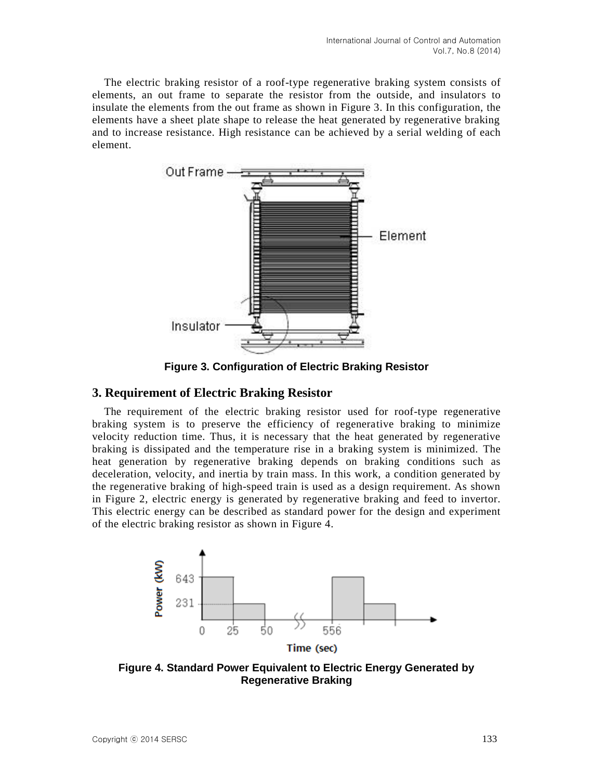The electric braking resistor of a roof-type regenerative braking system consists of elements, an out frame to separate the resistor from the outside, and insulators to insulate the elements from the out frame as shown in Figure 3. In this configuration, the elements have a sheet plate shape to release the heat generated by regenerative braking and to increase resistance. High resistance can be achieved by a serial welding of each element.



**Figure 3. Configuration of Electric Braking Resistor**

## **3. Requirement of Electric Braking Resistor**

The requirement of the electric braking resistor used for roof-type regenerative braking system is to preserve the efficiency of regenerative braking to minimize velocity reduction time. Thus, it is necessary that the heat generated by regenerative braking is dissipated and the temperature rise in a braking system is minimized. The heat generation by regenerative braking depends on braking conditions such as deceleration, velocity, and inertia by train mass. In this work, a condition generated by the regenerative braking of high-speed train is used as a design requirement. As shown in Figure 2, electric energy is generated by regenerative braking and feed to invertor. This electric energy can be described as standard power for the design and experiment of the electric braking resistor as shown in Figure 4.



**Figure 4. Standard Power Equivalent to Electric Energy Generated by Regenerative Braking**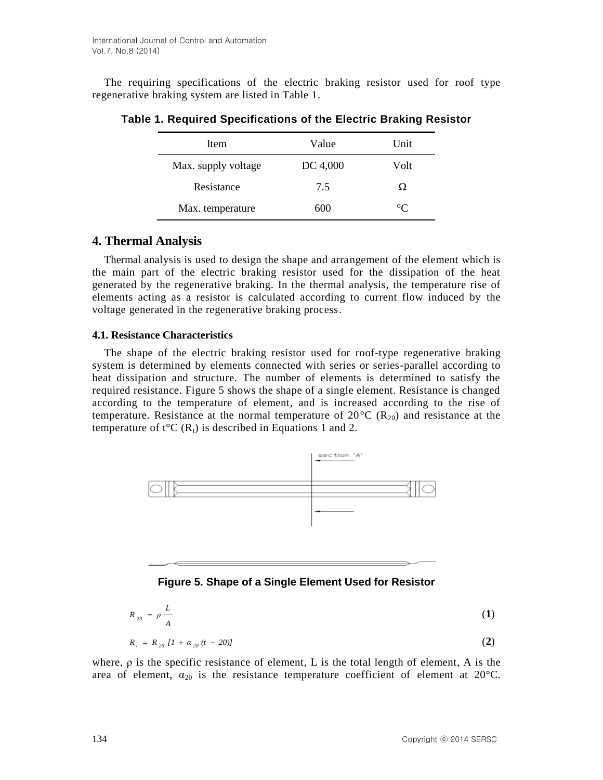The requiring specifications of the electric braking resistor used for roof type regenerative braking system are listed in Table 1.

| Item                | Value    | Unit     |  |  |
|---------------------|----------|----------|--|--|
| Max. supply voltage | DC 4,000 | Volt     |  |  |
| Resistance          | 7.5      | Ω        |  |  |
| Max. temperature    | 600      | $\Gamma$ |  |  |

**Table 1. Required Specifications of the Electric Braking Resistor**

## **4. Thermal Analysis**

Thermal analysis is used to design the shape and arrangement of the element which is the main part of the electric braking resistor used for the dissipation of the heat generated by the regenerative braking. In the thermal analysis, the temperature rise of elements acting as a resistor is calculated according to current flow induced by the voltage generated in the regenerative braking process.

### **4.1. Resistance Characteristics**

The shape of the electric braking resistor used for roof-type regenerative braking system is determined by elements connected with series or series-parallel according to heat dissipation and structure. The number of elements is determined to satisfy the required resistance. Figure 5 shows the shape of a single element. Resistance is changed according to the temperature of element, and is increased according to the rise of temperature. Resistance at the normal temperature of 20 °C ( $R_{20}$ ) and resistance at the temperature of  $t^{\circ}C(R_t)$  is described in Equations 1 and 2.



## **Figure 5. Shape of a Single Element Used for Resistor**

$$
R_{20} = \rho \frac{L}{A} \tag{1}
$$

$$
R_{t} = R_{20} [I + a_{20} (t - 20)] \tag{2}
$$

where, ρ is the specific resistance of element, L is the total length of element, A is the area of element,  $\alpha_{20}$  is the resistance temperature coefficient of element at 20 $^{\circ}$ C.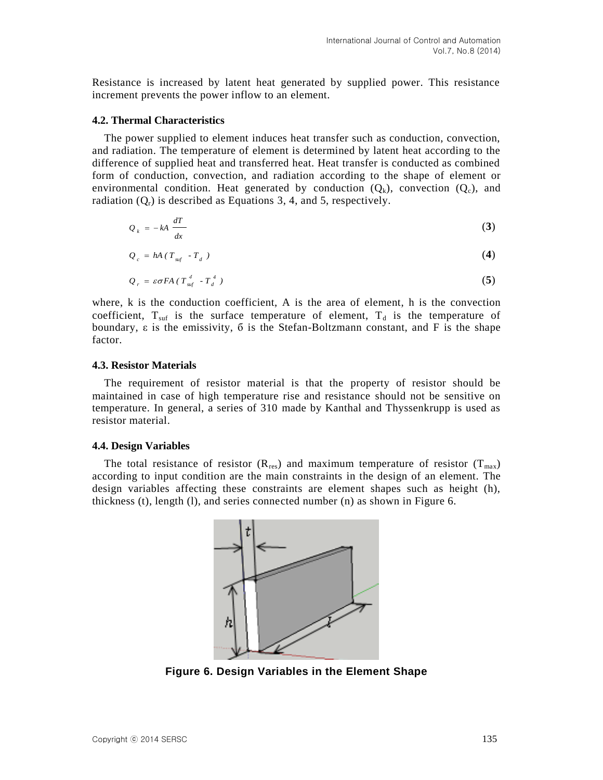Resistance is increased by latent heat generated by supplied power. This resistance increment prevents the power inflow to an element.

#### **4.2. Thermal Characteristics**

The power supplied to element induces heat transfer such as conduction, convection, and radiation. The temperature of element is determined by latent heat according to the difference of supplied heat and transferred heat. Heat transfer is conducted as combined form of conduction, convection, and radiation according to the shape of element or environmental condition. Heat generated by conduction  $(Q_k)$ , convection  $(Q_c)$ , and radiation  $(Q_r)$  is described as Equations 3, 4, and 5, respectively.

$$
Q_k = -kA \frac{dT}{dx}
$$
 (3)

$$
Q_c = hA(T_{\text{sqrt}} - T_d) \tag{4}
$$

$$
Q_r = \varepsilon \sigma F A \left( T_{\text{surf}}^4 - T_d^4 \right) \tag{5}
$$

where, k is the conduction coefficient, A is the area of element, h is the convection coefficient,  $T_{\text{surf}}$  is the surface temperature of element,  $T_d$  is the temperature of boundary,  $\varepsilon$  is the emissivity,  $\delta$  is the Stefan-Boltzmann constant, and F is the shape factor.

#### **4.3. Resistor Materials**

The requirement of resistor material is that the property of resistor should be maintained in case of high temperature rise and resistance should not be sensitive on temperature. In general, a series of 310 made by Kanthal and Thyssenkrupp is used as resistor material.

#### **4.4. Design Variables**

The total resistance of resistor ( $R_{res}$ ) and maximum temperature of resistor ( $T_{max}$ ) according to input condition are the main constraints in the design of an element. The design variables affecting these constraints are element shapes such as height (h), thickness (t), length (l), and series connected number (n) as shown in Figure 6.



**Figure 6. Design Variables in the Element Shape**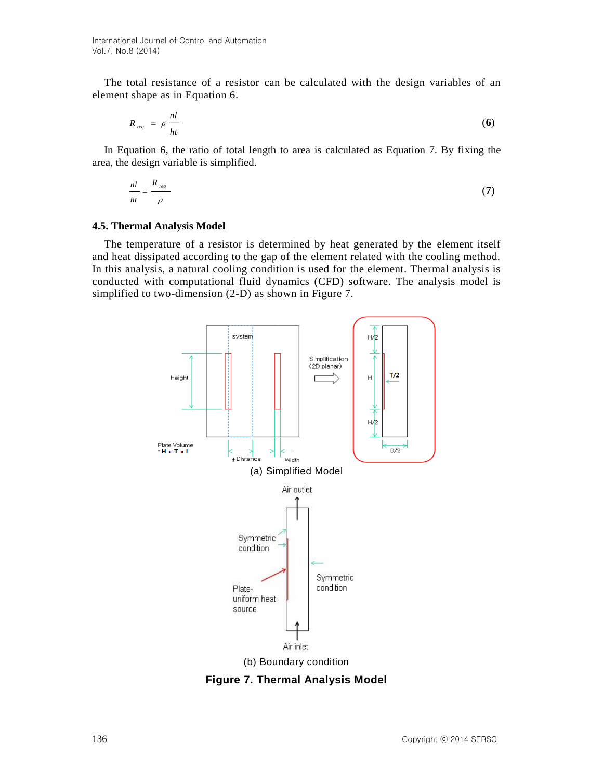The total resistance of a resistor can be calculated with the design variables of an element shape as in Equation 6.

$$
R_{req} = \rho \frac{nl}{ht} \tag{6}
$$

In Equation 6, the ratio of total length to area is calculated as Equation 7. By fixing the area, the design variable is simplified.

$$
\frac{nl}{ht} = \frac{R_{req}}{\rho} \tag{7}
$$

#### **4.5. Thermal Analysis Model**

The temperature of a resistor is determined by heat generated by the element itself and heat dissipated according to the gap of the element related with the cooling method. In this analysis, a natural cooling condition is used for the element. Thermal analysis is conducted with computational fluid dynamics (CFD) software. The analysis model is simplified to two-dimension (2-D) as shown in Figure 7.



**Figure 7. Thermal Analysis Model**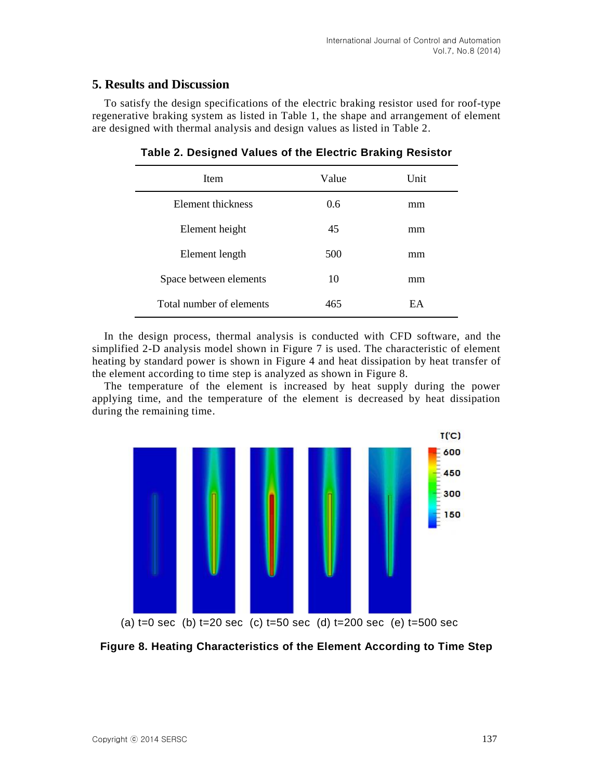## **5. Results and Discussion**

To satisfy the design specifications of the electric braking resistor used for roof-type regenerative braking system as listed in Table 1, the shape and arrangement of element are designed with thermal analysis and design values as listed in Table 2.

| Item                     | Value | Unit |
|--------------------------|-------|------|
| Element thickness        | 0.6   | mm   |
| Element height           | 45    | mm   |
| Element length           | 500   | mm   |
| Space between elements   | 10    | mm   |
| Total number of elements | 465   | EA.  |

**Table 2. Designed Values of the Electric Braking Resistor**

In the design process, thermal analysis is conducted with CFD software, and the simplified 2-D analysis model shown in Figure 7 is used. The characteristic of element heating by standard power is shown in Figure 4 and heat dissipation by heat transfer of the element according to time step is analyzed as shown in Figure 8.

The temperature of the element is increased by heat supply during the power applying time, and the temperature of the element is decreased by heat dissipation during the remaining time.



(a)  $t=0$  sec (b)  $t=20$  sec (c)  $t=50$  sec (d)  $t=200$  sec (e)  $t=500$  sec

**Figure 8. Heating Characteristics of the Element According to Time Step**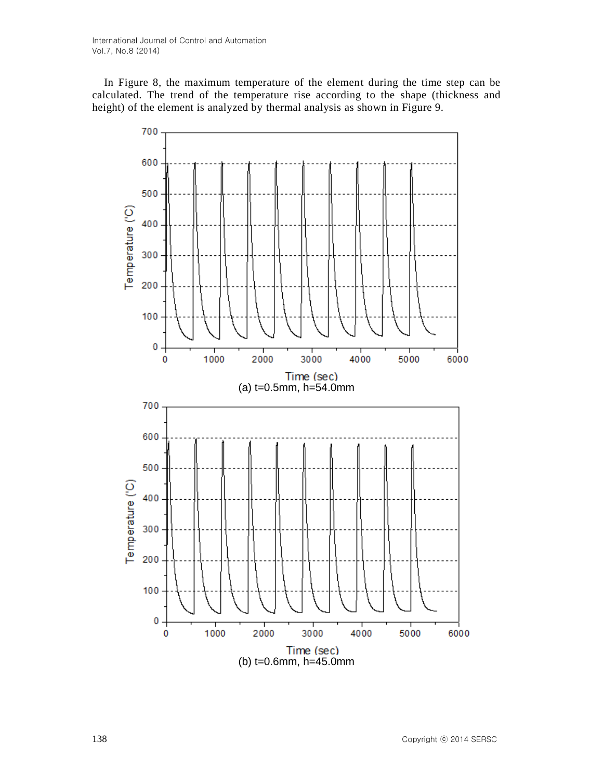In Figure 8, the maximum temperature of the element during the time step can be calculated. The trend of the temperature rise according to the shape (thickness and height) of the element is analyzed by thermal analysis as shown in Figure 9.

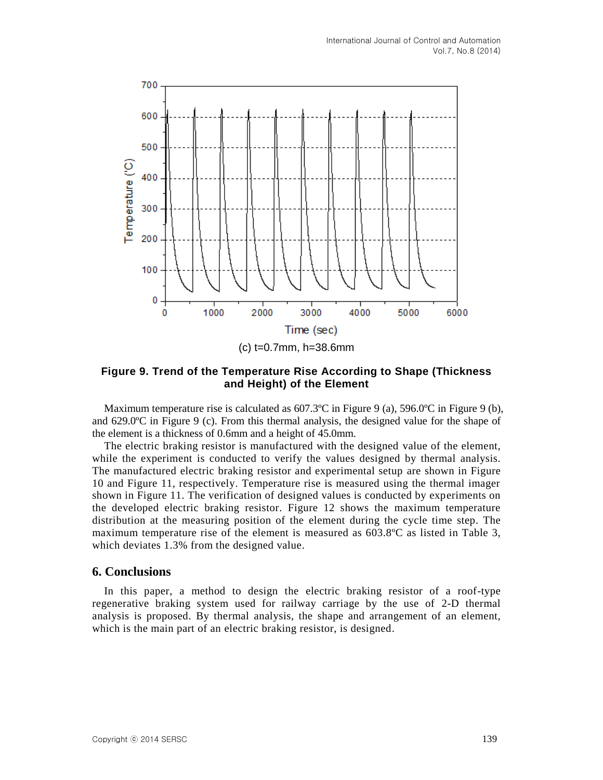

**Figure 9. Trend of the Temperature Rise According to Shape (Thickness and Height) of the Element**

Maximum temperature rise is calculated as  $607.3^{\circ}$  C in Figure 9 (a), 596.0 °C in Figure 9 (b), and 629.0 $\degree$ C in Figure 9 (c). From this thermal analysis, the designed value for the shape of the element is a thickness of 0.6mm and a height of 45.0mm.

The electric braking resistor is manufactured with the designed value of the element, while the experiment is conducted to verify the values designed by thermal analysis. The manufactured electric braking resistor and experimental setup are shown in Figure 10 and Figure 11, respectively. Temperature rise is measured using the thermal imager shown in Figure 11. The verification of designed values is conducted by experiments on the developed electric braking resistor. Figure 12 shows the maximum temperature distribution at the measuring position of the element during the cycle time step. The maximum temperature rise of the element is measured as  $603.8^{\circ}$ C as listed in Table 3, which deviates 1.3% from the designed value.

## **6. Conclusions**

In this paper, a method to design the electric braking resistor of a roof-type regenerative braking system used for railway carriage by the use of 2-D thermal analysis is proposed. By thermal analysis, the shape and arrangement of an element, which is the main part of an electric braking resistor, is designed.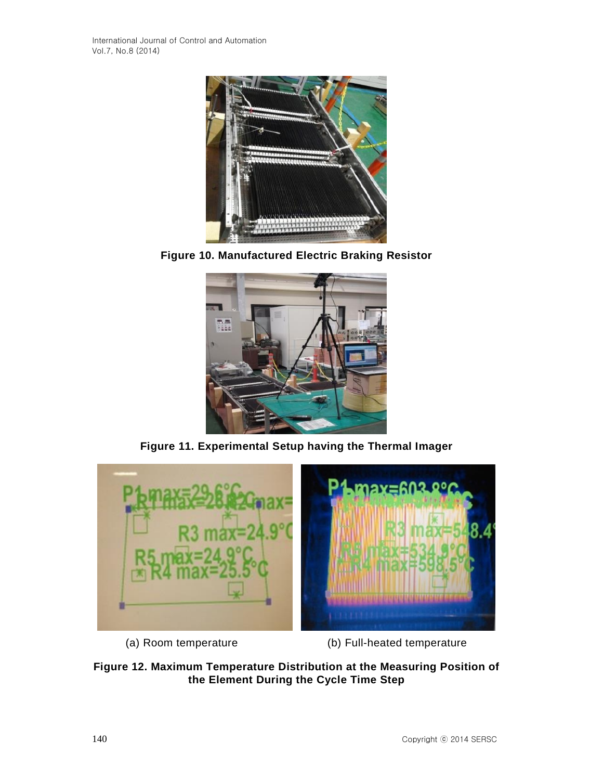

**Figure 10. Manufactured Electric Braking Resistor**



**Figure 11. Experimental Setup having the Thermal Imager**



(a) Room temperature (b) Full-heated temperature

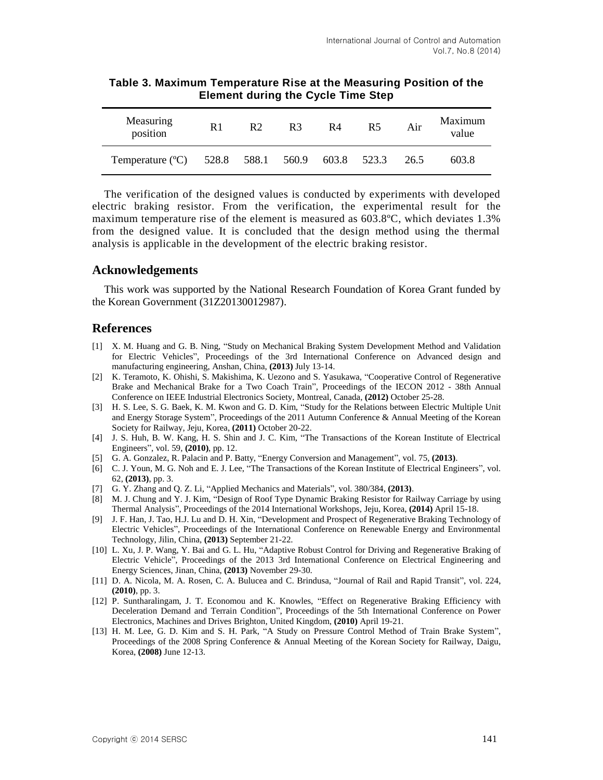| Measuring<br>position                               | R1 | R <sub>2</sub> | R <sub>3</sub> | R4 | R5 | Air | Maximum<br>value |
|-----------------------------------------------------|----|----------------|----------------|----|----|-----|------------------|
| Temperature (°C) 528.8 588.1 560.9 603.8 523.3 26.5 |    |                |                |    |    |     | 603.8            |

| Table 3. Maximum Temperature Rise at the Measuring Position of the |
|--------------------------------------------------------------------|
| <b>Element during the Cycle Time Step</b>                          |

The verification of the designed values is conducted by experiments with developed electric braking resistor. From the verification, the experimental result for the maximum temperature rise of the element is measured as  $603.8^{\circ}$ C, which deviates 1.3% from the designed value. It is concluded that the design method using the thermal analysis is applicable in the development of the electric braking resistor.

#### **Acknowledgements**

This work was supported by the National Research Foundation of Korea Grant funded by the Korean Government (31Z20130012987).

#### **References**

- [1] X. M. Huang and G. B. Ning, "Study on Mechanical Braking System Development Method and Validation for Electric Vehicles", Proceedings of the 3rd International Conference on Advanced design and manufacturing engineering, Anshan, China, **(2013)** July 13-14.
- [2] K. Teramoto, K. Ohishi, S. Makishima, K. Uezono and S. Yasukawa, "Cooperative Control of Regenerative Brake and Mechanical Brake for a Two Coach Train", Proceedings of the IECON 2012 - 38th Annual Conference on IEEE Industrial Electronics Society, Montreal, Canada, **(2012)** October 25-28.
- [3] H. S. Lee, S. G. Baek, K. M. Kwon and G. D. Kim, "Study for the Relations between Electric Multiple Unit and Energy Storage System", Proceedings of the 2011 Autumn Conference & Annual Meeting of the Korean Society for Railway, Jeju, Korea, **(2011)** October 20-22.
- [4] J. S. Huh, B. W. Kang, H. S. Shin and J. C. Kim, "The Transactions of the Korean Institute of Electrical Engineers", vol. 59, **(2010)**, pp. 12.
- [5] G. A. Gonzalez, R. Palacin and P. Batty, "Energy Conversion and Management", vol. 75, **(2013)**.
- [6] C. J. Youn, M. G. Noh and E. J. Lee, "The Transactions of the Korean Institute of Electrical Engineers", vol. 62, **(2013)**, pp. 3.
- [7] G. Y. Zhang and Q. Z. Li, "Applied Mechanics and Materials", vol. 380/384, **(2013)**.
- [8] M. J. Chung and Y. J. Kim, "Design of Roof Type Dynamic Braking Resistor for Railway Carriage by using Thermal Analysis", Proceedings of the 2014 International Workshops, Jeju, Korea, **(2014)** April 15-18.
- [9] J. F. Han, J. Tao, H.J. Lu and D. H. Xin, "Development and Prospect of Regenerative Braking Technology of Electric Vehicles", Proceedings of the International Conference on Renewable Energy and Environmental Technology, Jilin, China, **(2013)** September 21-22.
- [10] L. Xu, J. P. Wang, Y. Bai and G. L. Hu, "Adaptive Robust Control for Driving and Regenerative Braking of Electric Vehicle", Proceedings of the 2013 3rd International Conference on Electrical Engineering and Energy Sciences, Jinan, China, **(2013)** November 29-30.
- [11] D. A. Nicola, M. A. Rosen, C. A. Bulucea and C. Brindusa, "Journal of Rail and Rapid Transit", vol. 224, **(2010)**, pp. 3.
- [12] P. Suntharalingam, J. T. Economou and K. Knowles, "Effect on Regenerative Braking Efficiency with Deceleration Demand and Terrain Condition", Proceedings of the 5th International Conference on Power Electronics, Machines and Drives Brighton, United Kingdom, **(2010)** April 19-21.
- [13] H. M. Lee, G. D. Kim and S. H. Park, "A Study on Pressure Control Method of Train Brake System", Proceedings of the 2008 Spring Conference & Annual Meeting of the Korean Society for Railway, Daigu, Korea, **(2008)** June 12-13.